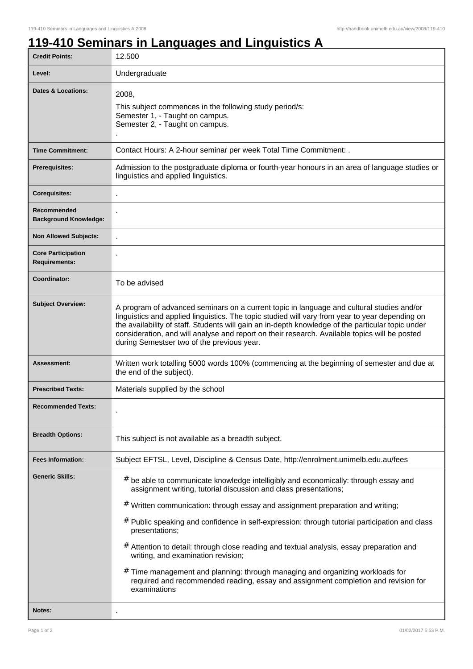٦

## **119-410 Seminars in Languages and Linguistics A**

| <b>Credit Points:</b>                             | 12.500                                                                                                                                                                                                                                                                                                                                                                                                                                                                                                                                                                                                                                                                                      |
|---------------------------------------------------|---------------------------------------------------------------------------------------------------------------------------------------------------------------------------------------------------------------------------------------------------------------------------------------------------------------------------------------------------------------------------------------------------------------------------------------------------------------------------------------------------------------------------------------------------------------------------------------------------------------------------------------------------------------------------------------------|
| Level:                                            | Undergraduate                                                                                                                                                                                                                                                                                                                                                                                                                                                                                                                                                                                                                                                                               |
| Dates & Locations:                                | 2008,<br>This subject commences in the following study period/s:<br>Semester 1, - Taught on campus.<br>Semester 2, - Taught on campus.                                                                                                                                                                                                                                                                                                                                                                                                                                                                                                                                                      |
| <b>Time Commitment:</b>                           | Contact Hours: A 2-hour seminar per week Total Time Commitment: .                                                                                                                                                                                                                                                                                                                                                                                                                                                                                                                                                                                                                           |
| <b>Prerequisites:</b>                             | Admission to the postgraduate diploma or fourth-year honours in an area of language studies or<br>linguistics and applied linguistics.                                                                                                                                                                                                                                                                                                                                                                                                                                                                                                                                                      |
| <b>Corequisites:</b>                              |                                                                                                                                                                                                                                                                                                                                                                                                                                                                                                                                                                                                                                                                                             |
| Recommended<br><b>Background Knowledge:</b>       |                                                                                                                                                                                                                                                                                                                                                                                                                                                                                                                                                                                                                                                                                             |
| <b>Non Allowed Subjects:</b>                      |                                                                                                                                                                                                                                                                                                                                                                                                                                                                                                                                                                                                                                                                                             |
| <b>Core Participation</b><br><b>Requirements:</b> |                                                                                                                                                                                                                                                                                                                                                                                                                                                                                                                                                                                                                                                                                             |
| Coordinator:                                      | To be advised                                                                                                                                                                                                                                                                                                                                                                                                                                                                                                                                                                                                                                                                               |
| <b>Subject Overview:</b>                          | A program of advanced seminars on a current topic in language and cultural studies and/or<br>linguistics and applied linguistics. The topic studied will vary from year to year depending on<br>the availability of staff. Students will gain an in-depth knowledge of the particular topic under<br>consideration, and will analyse and report on their research. Available topics will be posted<br>during Semestser two of the previous year.                                                                                                                                                                                                                                            |
| Assessment:                                       | Written work totalling 5000 words 100% (commencing at the beginning of semester and due at<br>the end of the subject).                                                                                                                                                                                                                                                                                                                                                                                                                                                                                                                                                                      |
| <b>Prescribed Texts:</b>                          | Materials supplied by the school                                                                                                                                                                                                                                                                                                                                                                                                                                                                                                                                                                                                                                                            |
| <b>Recommended Texts:</b>                         |                                                                                                                                                                                                                                                                                                                                                                                                                                                                                                                                                                                                                                                                                             |
| <b>Breadth Options:</b>                           | This subject is not available as a breadth subject.                                                                                                                                                                                                                                                                                                                                                                                                                                                                                                                                                                                                                                         |
| <b>Fees Information:</b>                          | Subject EFTSL, Level, Discipline & Census Date, http://enrolment.unimelb.edu.au/fees                                                                                                                                                                                                                                                                                                                                                                                                                                                                                                                                                                                                        |
| <b>Generic Skills:</b>                            | be able to communicate knowledge intelligibly and economically: through essay and<br>#<br>assignment writing, tutorial discussion and class presentations;<br># Written communication: through essay and assignment preparation and writing;<br># Public speaking and confidence in self-expression: through tutorial participation and class<br>presentations;<br># Attention to detail: through close reading and textual analysis, essay preparation and<br>writing, and examination revision;<br>#<br>Time management and planning: through managing and organizing workloads for<br>required and recommended reading, essay and assignment completion and revision for<br>examinations |
| Notes:                                            |                                                                                                                                                                                                                                                                                                                                                                                                                                                                                                                                                                                                                                                                                             |